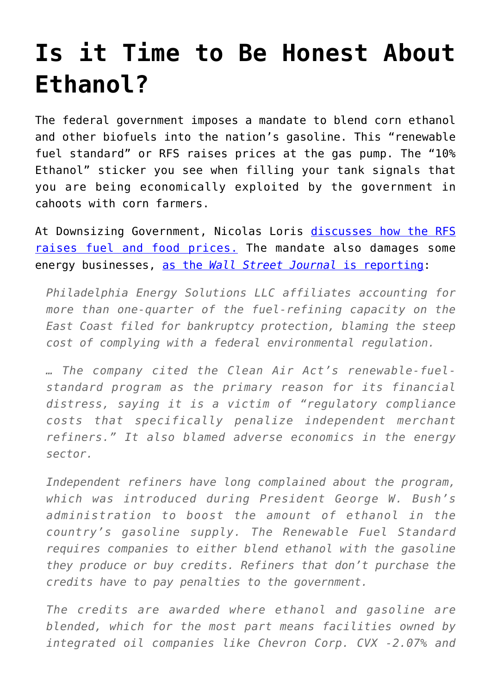## **[Is it Time to Be Honest About](https://intellectualtakeout.org/2018/01/is-it-time-to-be-honest-about-ethanol/) [Ethanol?](https://intellectualtakeout.org/2018/01/is-it-time-to-be-honest-about-ethanol/)**

The federal government imposes a mandate to blend corn ethanol and other biofuels into the nation's gasoline. This "renewable fuel standard" or RFS raises prices at the gas pump. The "10% Ethanol" sticker you see when filling your tank signals that you are being economically exploited by the government in cahoots with corn farmers.

At Downsizing Government, Nicolas Loris [discusses how the RFS](https://www.downsizinggovernment.org/ethanol-and-biofuel-policies) [raises fuel and food prices.](https://www.downsizinggovernment.org/ethanol-and-biofuel-policies) The mandate also damages some energy businesses, [as the](https://www.wsj.com/articles/philadelphia-energy-solutions-puts-refinery-operation-into-bankruptcy-1516626312) *[Wall Street Journal](https://www.wsj.com/articles/philadelphia-energy-solutions-puts-refinery-operation-into-bankruptcy-1516626312)* [is reporting:](https://www.wsj.com/articles/philadelphia-energy-solutions-puts-refinery-operation-into-bankruptcy-1516626312)

*Philadelphia Energy Solutions LLC affiliates accounting for more than one-quarter of the fuel-refining capacity on the East Coast filed for bankruptcy protection, blaming the steep cost of complying with a federal environmental regulation.*

*… The company cited the Clean Air Act's renewable-fuelstandard program as the primary reason for its financial distress, saying it is a victim of "regulatory compliance costs that specifically penalize independent merchant refiners." It also blamed adverse economics in the energy sector.*

*Independent refiners have long complained about the program, which was introduced during President George W. Bush's administration to boost the amount of ethanol in the country's gasoline supply. The Renewable Fuel Standard requires companies to either blend ethanol with the gasoline they produce or buy credits. Refiners that don't purchase the credits have to pay penalties to the government.*

*The credits are awarded where ethanol and gasoline are blended, which for the most part means facilities owned by integrated oil companies like Chevron Corp. CVX -2.07% and*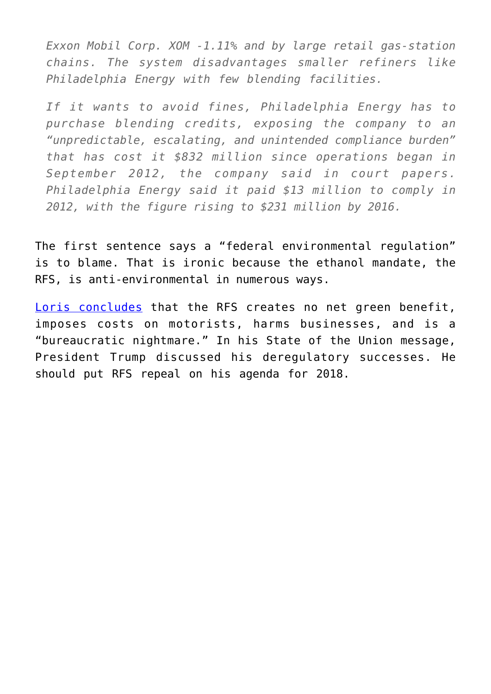*Exxon Mobil Corp. XOM -1.11% and by large retail gas-station chains. The system disadvantages smaller refiners like Philadelphia Energy with few blending facilities.*

*If it wants to avoid fines, Philadelphia Energy has to purchase blending credits, exposing the company to an "unpredictable, escalating, and unintended compliance burden" that has cost it \$832 million since operations began in September 2012, the company said in court papers. Philadelphia Energy said it paid \$13 million to comply in 2012, with the figure rising to \$231 million by 2016.*

The first sentence says a "federal environmental regulation" is to blame. That is ironic because the ethanol mandate, the RFS, is anti-environmental in numerous ways.

[Loris concludes](https://www.downsizinggovernment.org/ethanol-and-biofuel-policies) that the RFS creates no net green benefit, imposes costs on motorists, harms businesses, and is a "bureaucratic nightmare." In his State of the Union message, President Trump discussed his deregulatory successes. He should put RFS repeal on his agenda for 2018.